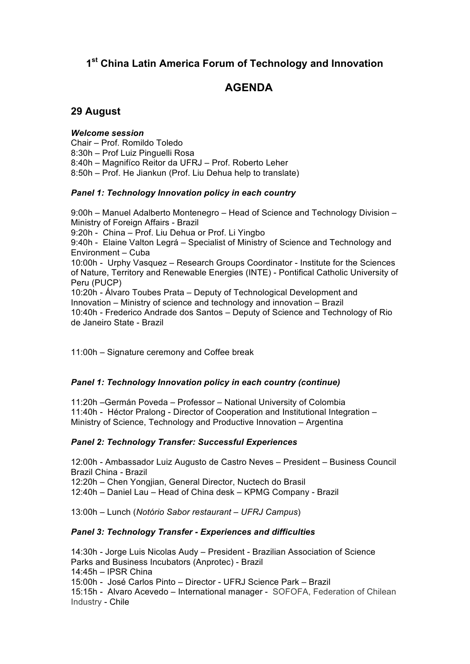# **1st China Latin America Forum of Technology and Innovation**

# **AGENDA**

## **29 August**

*Welcome session* Chair – Prof. Romildo Toledo 8:30h – Prof Luiz Pinguelli Rosa 8:40h – Magnifíco Reitor da UFRJ – Prof. Roberto Leher 8:50h – Prof. He Jiankun (Prof. Liu Dehua help to translate)

#### *Panel 1: Technology Innovation policy in each country*

9:00h – Manuel Adalberto Montenegro – Head of Science and Technology Division – Ministry of Foreign Affairs - Brazil 9:20h - China – Prof. Liu Dehua or Prof. Li Yingbo 9:40h - Elaine Valton Legrá – Specialist of Ministry of Science and Technology and Environment – Cuba 10:00h - Urphy Vasquez – Research Groups Coordinator - Institute for the Sciences of Nature, Territory and Renewable Energies (INTE) - Pontifical Catholic University of Peru (PUCP) 10:20h - Álvaro Toubes Prata – Deputy of Technological Development and Innovation – Ministry of science and technology and innovation – Brazil 10:40h - Frederico Andrade dos Santos – Deputy of Science and Technology of Rio de Janeiro State - Brazil

11:00h – Signature ceremony and Coffee break

## *Panel 1: Technology Innovation policy in each country (continue)*

11:20h –Germán Poveda – Professor – National University of Colombia 11:40h - Héctor Pralong - Director of Cooperation and Institutional Integration – Ministry of Science, Technology and Productive Innovation – Argentina

#### *Panel 2: Technology Transfer: Successful Experiences*

12:00h - Ambassador Luiz Augusto de Castro Neves – President – Business Council Brazil China - Brazil

12:20h – Chen Yongjian, General Director, Nuctech do Brasil

12:40h – Daniel Lau – Head of China desk – KPMG Company - Brazil

13:00h – Lunch (*Notório Sabor restaurant – UFRJ Campus*)

#### *Panel 3: Technology Transfer - Experiences and difficulties*

14:30h - Jorge Luis Nicolas Audy – President - Brazilian Association of Science Parks and Business Incubators (Anprotec) - Brazil 14:45h – IPSR China 15:00h - José Carlos Pinto – Director - UFRJ Science Park – Brazil

15:15h - Alvaro Acevedo – International manager - SOFOFA, Federation of Chilean Industry - Chile